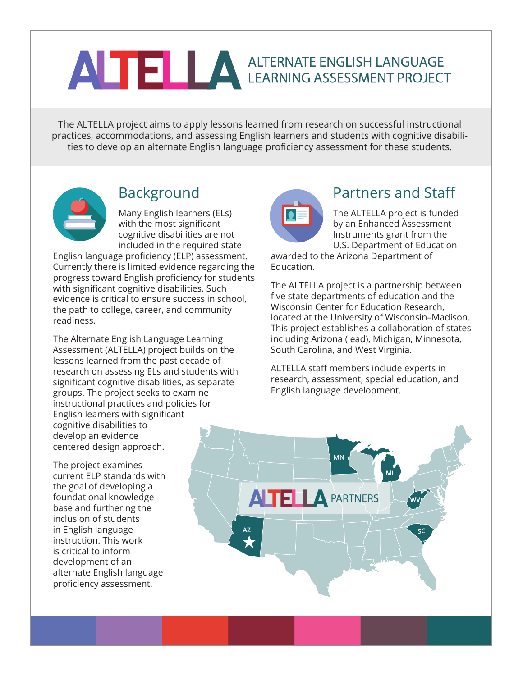# ANTE LA ALTERNATE ENGLISH LANGUAGE

The ALTELLA project aims to apply lessons learned from research on successful instructional practices, accommodations, and assessing English learners and students with cognitive disabilities to develop an alternate English language proficiency assessment for these students.



## Background

Many English learners (ELs) with the most significant cognitive disabilities are not included in the required state

English language proficiency (ELP) assessment. Currently there is limited evidence regarding the progress toward English proficiency for students with significant cognitive disabilities. Such evidence is critical to ensure success in school, the path to college, career, and community readiness.

The Alternate English Language Learning Assessment (ALTELLA) project builds on the lessons learned from the past decade of research on assessing ELs and students with significant cognitive disabilities, as separate groups. The project seeks to examine instructional practices and policies for English learners with significant cognitive disabilities to develop an evidence centered design approach.

The project examines current ELP standards with the goal of developing a foundational knowledge base and furthering the inclusion of students in English language instruction. This work is critical to inform development of an alternate English language proficiency assessment.



### Partners and Staff

The ALTELLA project is funded by an Enhanced Assessment Instruments grant from the U.S. Department of Education

awarded to the Arizona Department of Education.

The ALTELLA project is a partnership between five state departments of education and the Wisconsin Center for Education Research, located at the University of Wisconsin–Madison. This project establishes a collaboration of states including Arizona (lead), Michigan, Minnesota, South Carolina, and West Virginia.

ALTELLA staff members include experts in research, assessment, special education, and English language development.